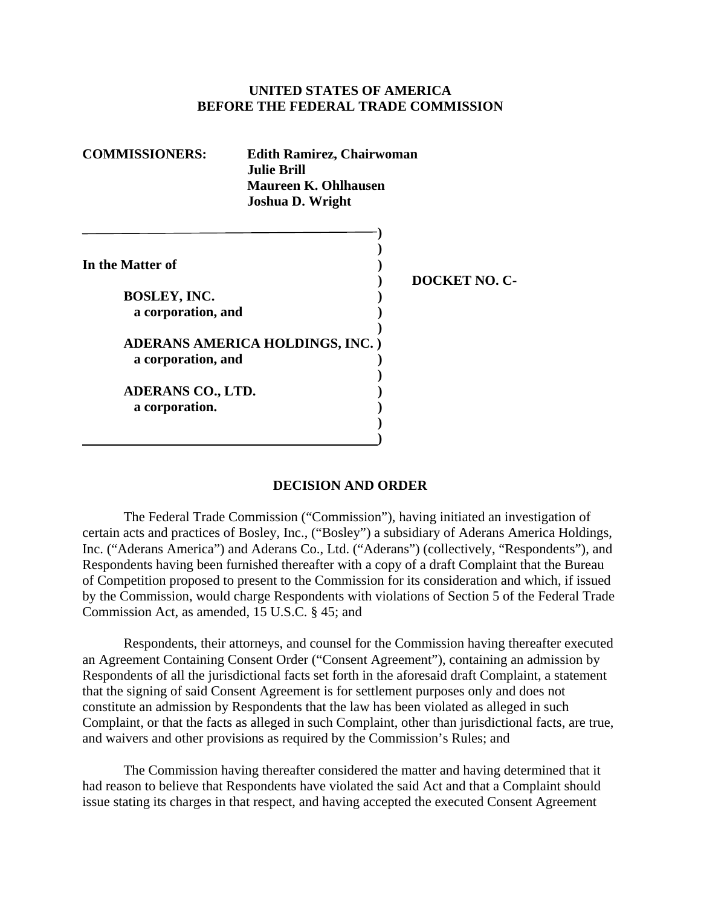#### **UNITED STATES OF AMERICA BEFORE THE FEDERAL TRADE COMMISSION**

| <b>COMMISSIONERS:</b><br><b>Edith Ramirez, Chairwoman</b><br><b>Julie Brill</b><br><b>Maureen K. Ohlhausen</b><br><b>Joshua D. Wright</b> |                                 |                      |
|-------------------------------------------------------------------------------------------------------------------------------------------|---------------------------------|----------------------|
| In the Matter of<br><b>BOSLEY, INC.</b><br>a corporation, and                                                                             |                                 | <b>DOCKET NO. C-</b> |
| a corporation, and                                                                                                                        | ADERANS AMERICA HOLDINGS, INC.) |                      |
| <b>ADERANS CO., LTD.</b><br>a corporation.                                                                                                |                                 |                      |

#### **DECISION AND ORDER**

 The Federal Trade Commission ("Commission"), having initiated an investigation of certain acts and practices of Bosley, Inc., ("Bosley") a subsidiary of Aderans America Holdings, Inc. ("Aderans America") and Aderans Co., Ltd. ("Aderans") (collectively, "Respondents"), and Respondents having been furnished thereafter with a copy of a draft Complaint that the Bureau of Competition proposed to present to the Commission for its consideration and which, if issued by the Commission, would charge Respondents with violations of Section 5 of the Federal Trade Commission Act, as amended, 15 U.S.C. § 45; and

 Respondents, their attorneys, and counsel for the Commission having thereafter executed an Agreement Containing Consent Order ("Consent Agreement"), containing an admission by Respondents of all the jurisdictional facts set forth in the aforesaid draft Complaint, a statement that the signing of said Consent Agreement is for settlement purposes only and does not constitute an admission by Respondents that the law has been violated as alleged in such Complaint, or that the facts as alleged in such Complaint, other than jurisdictional facts, are true, and waivers and other provisions as required by the Commission's Rules; and

 The Commission having thereafter considered the matter and having determined that it had reason to believe that Respondents have violated the said Act and that a Complaint should issue stating its charges in that respect, and having accepted the executed Consent Agreement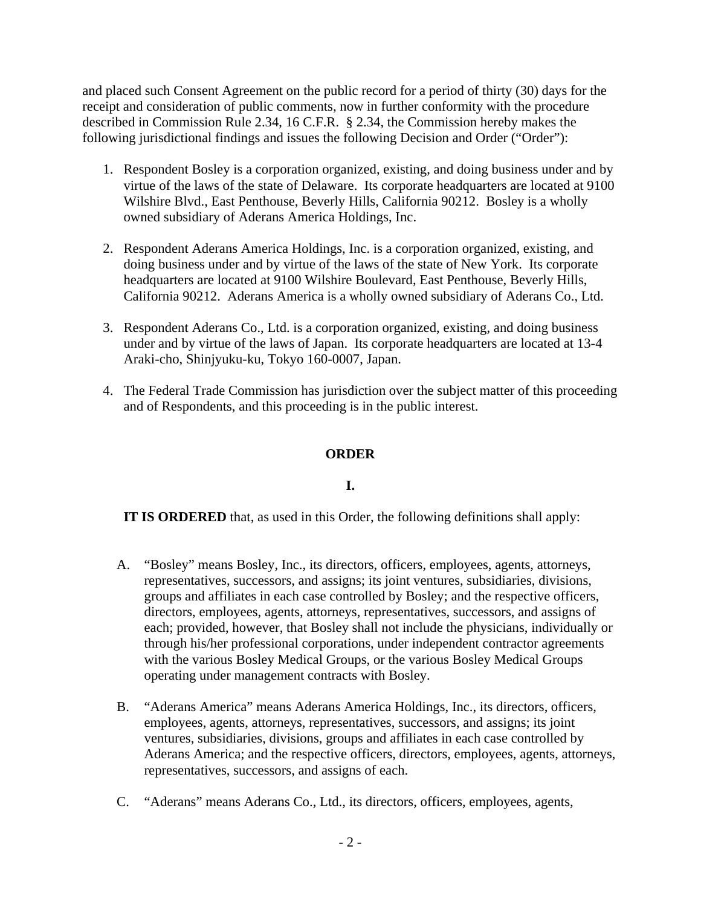and placed such Consent Agreement on the public record for a period of thirty (30) days for the receipt and consideration of public comments, now in further conformity with the procedure described in Commission Rule 2.34, 16 C.F.R. § 2.34, the Commission hereby makes the following jurisdictional findings and issues the following Decision and Order ("Order"):

- 1. Respondent Bosley is a corporation organized, existing, and doing business under and by virtue of the laws of the state of Delaware. Its corporate headquarters are located at 9100 Wilshire Blvd., East Penthouse, Beverly Hills, California 90212. Bosley is a wholly owned subsidiary of Aderans America Holdings, Inc.
- 2. Respondent Aderans America Holdings, Inc. is a corporation organized, existing, and doing business under and by virtue of the laws of the state of New York. Its corporate headquarters are located at 9100 Wilshire Boulevard, East Penthouse, Beverly Hills, California 90212. Aderans America is a wholly owned subsidiary of Aderans Co., Ltd.
- 3. Respondent Aderans Co., Ltd. is a corporation organized, existing, and doing business under and by virtue of the laws of Japan. Its corporate headquarters are located at 13-4 Araki-cho, Shinjyuku-ku, Tokyo 160-0007, Japan.
- 4. The Federal Trade Commission has jurisdiction over the subject matter of this proceeding and of Respondents, and this proceeding is in the public interest.

# **ORDER**

### **I.**

**IT IS ORDERED** that, as used in this Order, the following definitions shall apply:

- A. "Bosley" means Bosley, Inc., its directors, officers, employees, agents, attorneys, representatives, successors, and assigns; its joint ventures, subsidiaries, divisions, groups and affiliates in each case controlled by Bosley; and the respective officers, directors, employees, agents, attorneys, representatives, successors, and assigns of each; provided, however, that Bosley shall not include the physicians, individually or through his/her professional corporations, under independent contractor agreements with the various Bosley Medical Groups, or the various Bosley Medical Groups operating under management contracts with Bosley.
- B. "Aderans America" means Aderans America Holdings, Inc., its directors, officers, employees, agents, attorneys, representatives, successors, and assigns; its joint ventures, subsidiaries, divisions, groups and affiliates in each case controlled by Aderans America; and the respective officers, directors, employees, agents, attorneys, representatives, successors, and assigns of each.
- C. "Aderans" means Aderans Co., Ltd., its directors, officers, employees, agents,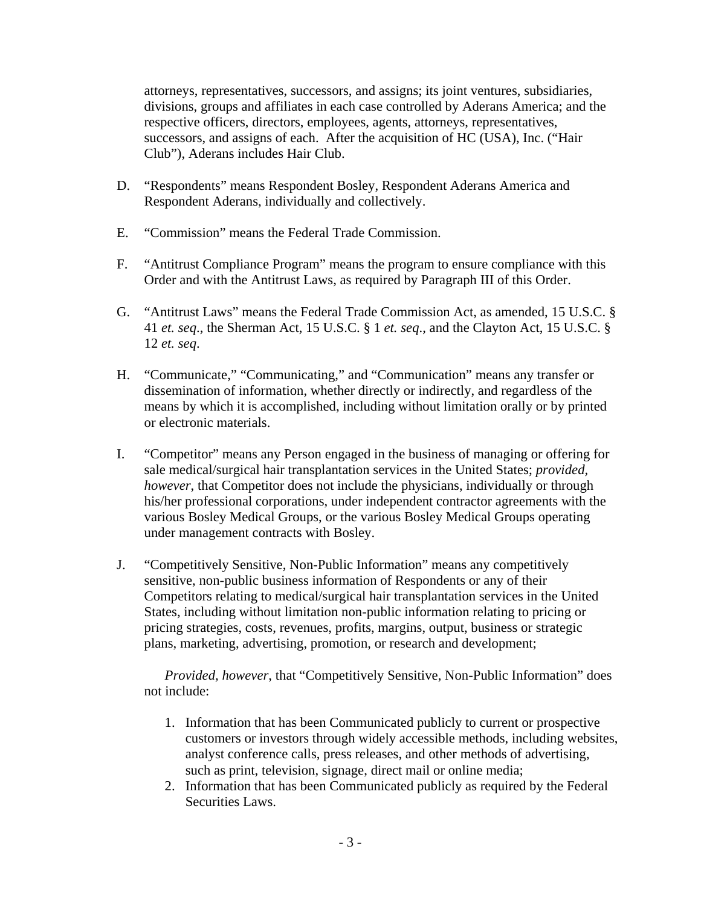attorneys, representatives, successors, and assigns; its joint ventures, subsidiaries, divisions, groups and affiliates in each case controlled by Aderans America; and the respective officers, directors, employees, agents, attorneys, representatives, successors, and assigns of each. After the acquisition of HC (USA), Inc. ("Hair Club"), Aderans includes Hair Club.

- D. "Respondents" means Respondent Bosley, Respondent Aderans America and Respondent Aderans, individually and collectively.
- E. "Commission" means the Federal Trade Commission.
- F. "Antitrust Compliance Program" means the program to ensure compliance with this Order and with the Antitrust Laws, as required by Paragraph III of this Order.
- G. "Antitrust Laws" means the Federal Trade Commission Act, as amended, 15 U.S.C. § 41 *et. seq*., the Sherman Act, 15 U.S.C. § 1 *et. seq*., and the Clayton Act, 15 U.S.C. § 12 *et. seq*.
- H. "Communicate," "Communicating," and "Communication" means any transfer or dissemination of information, whether directly or indirectly, and regardless of the means by which it is accomplished, including without limitation orally or by printed or electronic materials.
- I. "Competitor" means any Person engaged in the business of managing or offering for sale medical/surgical hair transplantation services in the United States; *provided, however*, that Competitor does not include the physicians, individually or through his/her professional corporations, under independent contractor agreements with the various Bosley Medical Groups, or the various Bosley Medical Groups operating under management contracts with Bosley.
- J. "Competitively Sensitive, Non-Public Information" means any competitively sensitive, non-public business information of Respondents or any of their Competitors relating to medical/surgical hair transplantation services in the United States, including without limitation non-public information relating to pricing or pricing strategies, costs, revenues, profits, margins, output, business or strategic plans, marketing, advertising, promotion, or research and development;

*Provided, however*, that "Competitively Sensitive, Non-Public Information" does not include:

- 1. Information that has been Communicated publicly to current or prospective customers or investors through widely accessible methods, including websites, analyst conference calls, press releases, and other methods of advertising, such as print, television, signage, direct mail or online media;
- 2. Information that has been Communicated publicly as required by the Federal Securities Laws.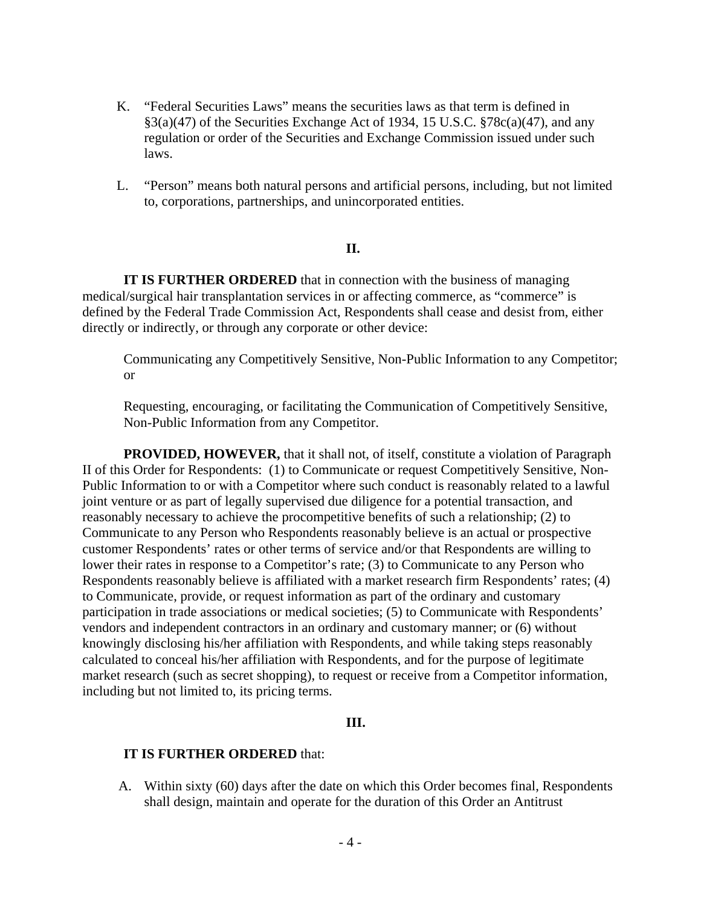- K. "Federal Securities Laws" means the securities laws as that term is defined in  $\S3(a)(47)$  of the Securities Exchange Act of 1934, 15 U.S.C.  $\S78c(a)(47)$ , and any regulation or order of the Securities and Exchange Commission issued under such laws.
- L. "Person" means both natural persons and artificial persons, including, but not limited to, corporations, partnerships, and unincorporated entities.

#### **II.**

 **IT IS FURTHER ORDERED** that in connection with the business of managing medical/surgical hair transplantation services in or affecting commerce, as "commerce" is defined by the Federal Trade Commission Act, Respondents shall cease and desist from, either directly or indirectly, or through any corporate or other device:

Communicating any Competitively Sensitive, Non-Public Information to any Competitor; or

Requesting, encouraging, or facilitating the Communication of Competitively Sensitive, Non-Public Information from any Competitor.

**PROVIDED, HOWEVER,** that it shall not, of itself, constitute a violation of Paragraph II of this Order for Respondents: (1) to Communicate or request Competitively Sensitive, Non-Public Information to or with a Competitor where such conduct is reasonably related to a lawful joint venture or as part of legally supervised due diligence for a potential transaction, and reasonably necessary to achieve the procompetitive benefits of such a relationship; (2) to Communicate to any Person who Respondents reasonably believe is an actual or prospective customer Respondents' rates or other terms of service and/or that Respondents are willing to lower their rates in response to a Competitor's rate; (3) to Communicate to any Person who Respondents reasonably believe is affiliated with a market research firm Respondents' rates; (4) to Communicate, provide, or request information as part of the ordinary and customary participation in trade associations or medical societies; (5) to Communicate with Respondents' vendors and independent contractors in an ordinary and customary manner; or (6) without knowingly disclosing his/her affiliation with Respondents, and while taking steps reasonably calculated to conceal his/her affiliation with Respondents, and for the purpose of legitimate market research (such as secret shopping), to request or receive from a Competitor information, including but not limited to, its pricing terms.

#### **III.**

#### **IT IS FURTHER ORDERED** that:

A. Within sixty (60) days after the date on which this Order becomes final, Respondents shall design, maintain and operate for the duration of this Order an Antitrust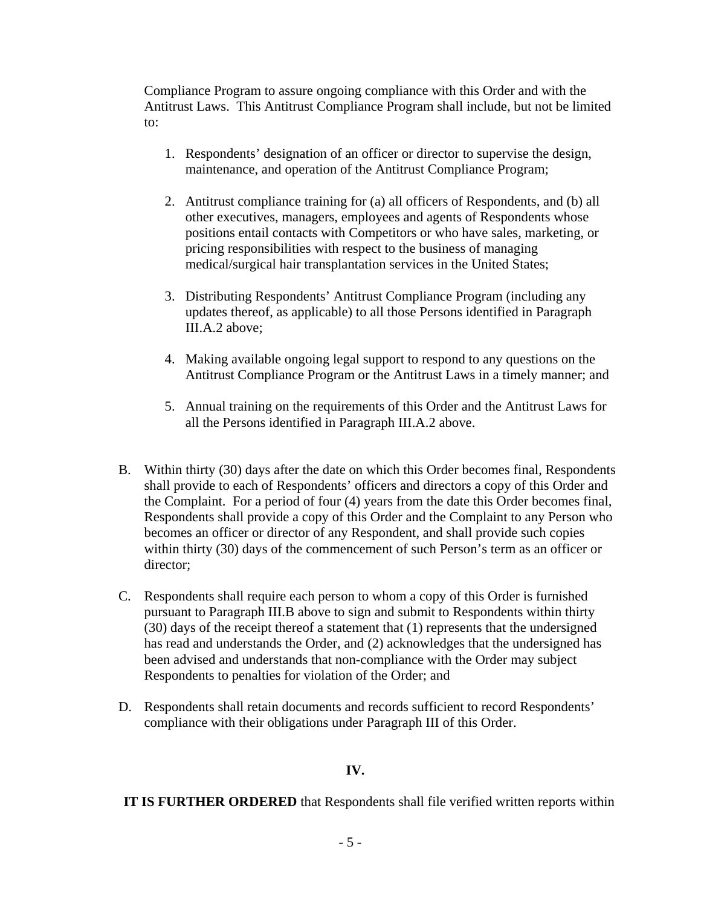Compliance Program to assure ongoing compliance with this Order and with the Antitrust Laws. This Antitrust Compliance Program shall include, but not be limited to:

- 1. Respondents' designation of an officer or director to supervise the design, maintenance, and operation of the Antitrust Compliance Program;
- 2. Antitrust compliance training for (a) all officers of Respondents, and (b) all other executives, managers, employees and agents of Respondents whose positions entail contacts with Competitors or who have sales, marketing, or pricing responsibilities with respect to the business of managing medical/surgical hair transplantation services in the United States;
- 3. Distributing Respondents' Antitrust Compliance Program (including any updates thereof, as applicable) to all those Persons identified in Paragraph III.A.2 above;
- 4. Making available ongoing legal support to respond to any questions on the Antitrust Compliance Program or the Antitrust Laws in a timely manner; and
- 5. Annual training on the requirements of this Order and the Antitrust Laws for all the Persons identified in Paragraph III.A.2 above.
- B. Within thirty (30) days after the date on which this Order becomes final, Respondents shall provide to each of Respondents' officers and directors a copy of this Order and the Complaint. For a period of four (4) years from the date this Order becomes final, Respondents shall provide a copy of this Order and the Complaint to any Person who becomes an officer or director of any Respondent, and shall provide such copies within thirty (30) days of the commencement of such Person's term as an officer or director;
- C. Respondents shall require each person to whom a copy of this Order is furnished pursuant to Paragraph III.B above to sign and submit to Respondents within thirty (30) days of the receipt thereof a statement that (1) represents that the undersigned has read and understands the Order, and (2) acknowledges that the undersigned has been advised and understands that non-compliance with the Order may subject Respondents to penalties for violation of the Order; and
- D. Respondents shall retain documents and records sufficient to record Respondents' compliance with their obligations under Paragraph III of this Order.

# **IV.**

 **IT IS FURTHER ORDERED** that Respondents shall file verified written reports within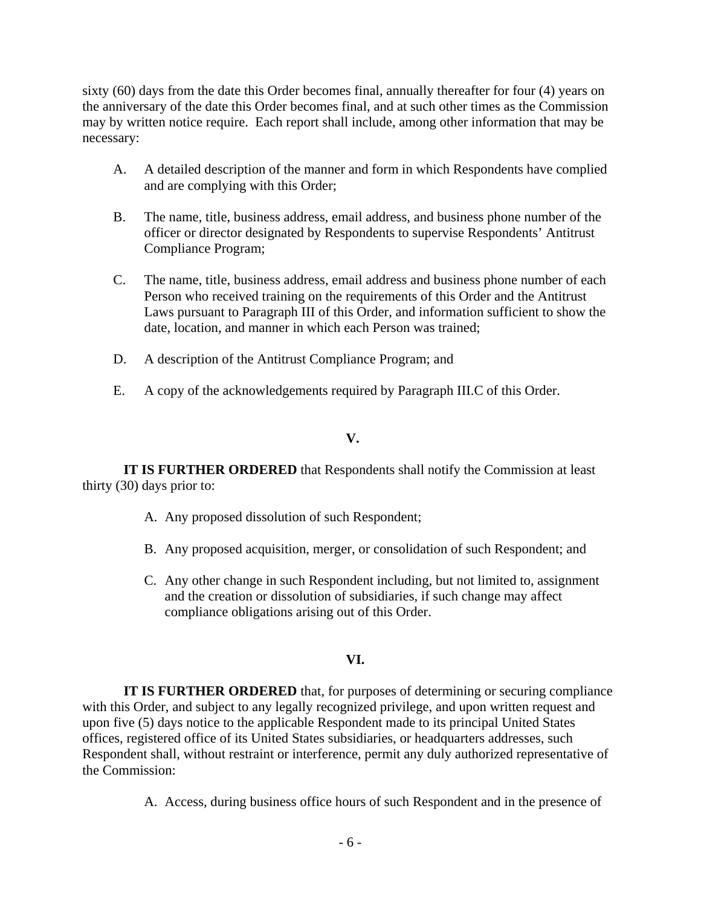sixty (60) days from the date this Order becomes final, annually thereafter for four (4) years on the anniversary of the date this Order becomes final, and at such other times as the Commission may by written notice require. Each report shall include, among other information that may be necessary:

- A. A detailed description of the manner and form in which Respondents have complied and are complying with this Order;
- B. The name, title, business address, email address, and business phone number of the officer or director designated by Respondents to supervise Respondents' Antitrust Compliance Program;
- C. The name, title, business address, email address and business phone number of each Person who received training on the requirements of this Order and the Antitrust Laws pursuant to Paragraph III of this Order, and information sufficient to show the date, location, and manner in which each Person was trained;
- D. A description of the Antitrust Compliance Program; and
- E. A copy of the acknowledgements required by Paragraph III.C of this Order.

### **V.**

 **IT IS FURTHER ORDERED** that Respondents shall notify the Commission at least thirty (30) days prior to:

- A. Any proposed dissolution of such Respondent;
- B. Any proposed acquisition, merger, or consolidation of such Respondent; and
- C. Any other change in such Respondent including, but not limited to, assignment and the creation or dissolution of subsidiaries, if such change may affect compliance obligations arising out of this Order.

# **VI.**

**IT IS FURTHER ORDERED** that, for purposes of determining or securing compliance with this Order, and subject to any legally recognized privilege, and upon written request and upon five (5) days notice to the applicable Respondent made to its principal United States offices, registered office of its United States subsidiaries, or headquarters addresses, such Respondent shall, without restraint or interference, permit any duly authorized representative of the Commission:

A. Access, during business office hours of such Respondent and in the presence of